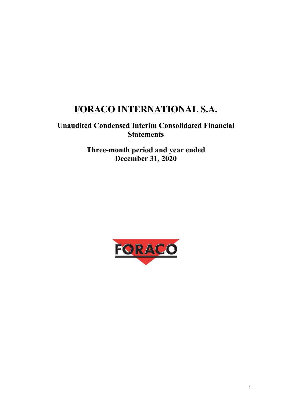# **FORACO INTERNATIONAL S.A.**

# **Unaudited Condensed Interim Consolidated Financial Statements**

**Three-month period and year ended December 31, 2020** 

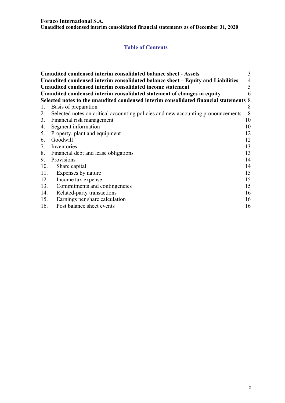**Unaudited condensed interim consolidated financial statements as of December 31, 2020** 

# **Table of Contents**

|     | Unaudited condensed interim consolidated balance sheet - Assets                       | 3              |  |  |  |  |
|-----|---------------------------------------------------------------------------------------|----------------|--|--|--|--|
|     | Unaudited condensed interim consolidated balance sheet – Equity and Liabilities       | $\overline{4}$ |  |  |  |  |
|     | Unaudited condensed interim consolidated income statement                             | 5              |  |  |  |  |
|     | Unaudited condensed interim consolidated statement of changes in equity<br>6          |                |  |  |  |  |
|     | Selected notes to the unaudited condensed interim consolidated financial statements 8 |                |  |  |  |  |
| 1.  | Basis of preparation                                                                  | 8              |  |  |  |  |
| 2.  | Selected notes on critical accounting policies and new accounting pronouncements      | 8              |  |  |  |  |
|     | 3. Financial risk management                                                          | 10             |  |  |  |  |
| 4.  | Segment information                                                                   | 10             |  |  |  |  |
|     | 5. Property, plant and equipment                                                      | 12             |  |  |  |  |
| 6.  | Goodwill                                                                              | 12             |  |  |  |  |
| 7.  | Inventories                                                                           | 13             |  |  |  |  |
|     | 8. Financial debt and lease obligations                                               | 13             |  |  |  |  |
| 9.  | Provisions                                                                            | 14             |  |  |  |  |
| 10. | Share capital                                                                         | 14             |  |  |  |  |
| 11. | Expenses by nature                                                                    | 15             |  |  |  |  |
| 12. | Income tax expense                                                                    | 15             |  |  |  |  |
| 13. | Commitments and contingencies                                                         | 15             |  |  |  |  |
| 14. | Related-party transactions                                                            | 16             |  |  |  |  |
| 15. | Earnings per share calculation                                                        | 16             |  |  |  |  |
| 16. | Post balance sheet events                                                             | 16             |  |  |  |  |
|     |                                                                                       |                |  |  |  |  |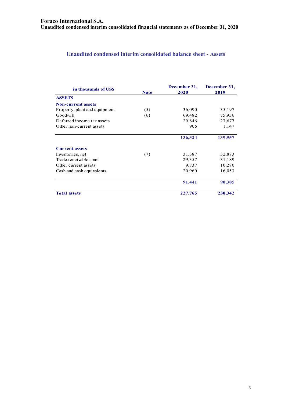# **Unaudited condensed interim consolidated balance sheet - Assets**

| in thousands of US\$          | <b>Note</b> | December 31,<br>2020 | December 31,<br>2019 |
|-------------------------------|-------------|----------------------|----------------------|
| <b>ASSETS</b>                 |             |                      |                      |
| <b>Non-current assets</b>     |             |                      |                      |
| Property, plant and equipment | (5)         | 36,090               | 35,197               |
| Goodwill                      | (6)         | 69,482               | 75,936               |
| Deferred income tax assets    |             | 29,846               | 27,677               |
| Other non-current assets      |             | 906                  | 1,147                |
|                               |             | 136,324              | 139,957              |
| <b>Current assets</b>         |             |                      |                      |
| Inventories, net              | (7)         | 31,387               | 32,873               |
| Trade receivables, net        |             | 29,357               | 31,189               |
| Other current assets          |             | 9,737                | 10,270               |
| Cash and cash equivalents     |             | 20,960               | 16,053               |
|                               |             | 91,441               | 90,385               |
| <b>Total assets</b>           |             | 227,765              | 230,342              |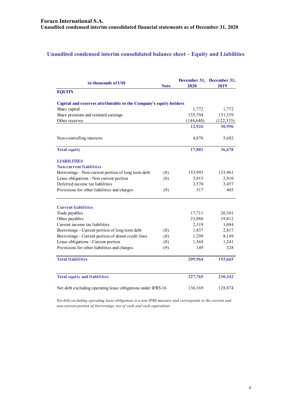# **Unaudited condensed interim consolidated balance sheet – Equity and Liabilities**

| in thousands of US\$                                              | <b>Note</b> | 2020       | December 31, December 31,<br>2019 |
|-------------------------------------------------------------------|-------------|------------|-----------------------------------|
| <b>EQUITY</b>                                                     |             |            |                                   |
| Capital and reserves attributable to the Company's equity holders |             |            |                                   |
| Share capital                                                     |             | 1,772      | 1,772                             |
| Share premium and retained earnings                               |             | 155,794    | 151,559                           |
| Other reserves                                                    |             | (144, 640) | (122, 335)                        |
|                                                                   |             | 12,926     | 30,996                            |
| Non-controlling interests                                         |             | 4,876      | 5,682                             |
| <b>Total equity</b>                                               |             | 17,802     | 36,678                            |
| <b>LIABILITIES</b>                                                |             |            |                                   |
| <b>Non-current liabilities</b>                                    |             |            |                                   |
| Borrowings - Non-current portion of long term debt                | (8)         | 153,993    | 133,961                           |
| Lease obligations - Non current portion                           | (8)         | 3,915      | 2,910                             |
| Deferred income tax liabilities                                   |             | 3,570      | 3,457                             |
| Provisions for other liabilities and charges                      | (9)         | 517        | 405                               |
| <b>Current liabilities</b>                                        |             |            |                                   |
| Trade payables                                                    |             | 17,711     | 20,301                            |
| Other payables                                                    |             | 23,086     | 19,012                            |
| Current income tax liabilities                                    |             | 2,319      | 1,084                             |
| Borrowings - Current portion of long term debt                    | (8)         | 1,837      | 2,817                             |
| Borrowings - Current portion of drawn credit lines                | (8)         | 1,299      | 8,149                             |
| Lease obligations - Current portion                               | (8)         | 1,568      | 1,241                             |
| Provisions for other liabilities and charges                      | (9)         | 149        | 328                               |
| <b>Total liabilities</b>                                          |             | 209,964    | 193,665                           |
| <b>Total equity and liabilities</b>                               |             | 227,765    | 230,342                           |
| Net debt excluding operating lease obligations under IFRS 16      |             | 136,169    | 128,874                           |

*Net debt excluding operating lease obligations is a non IFRS measure and corresponds to the current and non-current portion of borrowings, net of cash and cash equivalents*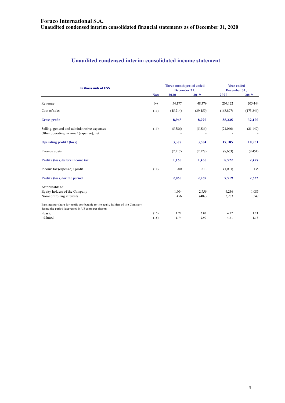# **Unaudited condensed interim consolidated income statement**

| In thousands of US\$                                                                                                                    |             | Three-month period ended<br>December 31, |           | <b>Year ended</b><br>December 31, |            |
|-----------------------------------------------------------------------------------------------------------------------------------------|-------------|------------------------------------------|-----------|-----------------------------------|------------|
|                                                                                                                                         | <b>Note</b> | 2020                                     | 2019      | 2020                              | 2019       |
| Revenue                                                                                                                                 | (4)         | 54,177                                   | 48,379    | 207,122                           | 205,444    |
| Cost of sales                                                                                                                           | (11)        | (45,214)                                 | (39, 459) | (168, 897)                        | (173, 344) |
| Gross profit                                                                                                                            |             | 8,963                                    | 8,920     | 38,225                            | 32,100     |
| Selling, general and administrative expenses<br>Other operating income / (expense), net                                                 | (11)        | (5,586)                                  | (5,336)   | (21,040)                          | (21, 149)  |
| <b>Operating profit</b> / (loss)                                                                                                        |             | 3,377                                    | 3,584     | 17,185                            | 10,951     |
| Finance costs                                                                                                                           |             | (2,217)                                  | (2,128)   | (8,663)                           | (8, 454)   |
| Profit / (loss) before income tax                                                                                                       |             | 1,160                                    | 1,456     | 8,522                             | 2,497      |
| Income $\text{tax}$ (expense) / profit                                                                                                  | (12)        | 900                                      | 813       | (1,003)                           | 135        |
| Profit / (loss) for the period                                                                                                          |             | 2,060                                    | 2,269     | 7,519                             | 2,632      |
| Attributable to:                                                                                                                        |             |                                          |           |                                   |            |
| Equity holders of the Company                                                                                                           |             | 1,604                                    | 2,756     | 4,236                             | 1,085      |
| Non-controlling interests                                                                                                               |             | 456                                      | (487)     | 3,283                             | 1,547      |
| Earnings per share for profit attributable to the equity holders of the Company<br>during the period (expressed in US cents per share): |             |                                          |           |                                   |            |
| - basic                                                                                                                                 | (15)        | 1.79                                     | 3.07      | 4.72                              | 1.21       |
| - diluted                                                                                                                               | (15)        | 1.74                                     | 2.99      | 4.61                              | 1.18       |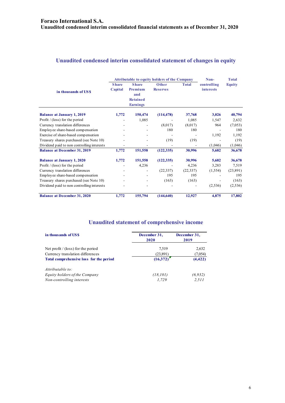# **Unaudited condensed interim consolidated statement of changes in equity**

|                                            | <b>Attributable to equity holders of the Company</b> |                                                                      |                          |              | Non-                     | <b>Total</b>  |
|--------------------------------------------|------------------------------------------------------|----------------------------------------------------------------------|--------------------------|--------------|--------------------------|---------------|
| in thousands of USS                        | <b>Share</b><br>Capital                              | <b>Share</b><br>Premium<br>and<br><b>Retained</b><br><b>Earnings</b> | Other<br><b>Reserves</b> | <b>Total</b> | controlling<br>interests | <b>Equity</b> |
| <b>Balance at January 1, 2019</b>          | 1,772                                                | 150,474                                                              | (114, 478)               | 37,768       | 3,026                    | 40,794        |
| Profit $/$ (loss) for the period           |                                                      | 1,085                                                                |                          | 1,085        | 1,547                    | 2,632         |
| Currency translation differences           |                                                      |                                                                      | (8,017)                  | (8,017)      | 964                      | (7,053)       |
| Employee share-based compensation          |                                                      |                                                                      | 180                      | 180          |                          | 180           |
| Exercise of share-based compensation       |                                                      |                                                                      |                          |              | 1,192                    | 1,192         |
| Treasury shares purchased (see Note 10)    |                                                      |                                                                      | (19)                     | (19)         |                          | (19)          |
| Dividend paid to non controlling interests |                                                      |                                                                      |                          |              | (1,046)                  | (1,046)       |
| <b>Balance at December 31, 2019</b>        | 1,772                                                | 151,558                                                              | (122, 335)               | 30,996       | 5,682                    | 36,678        |
| <b>Balance at January 1, 2020</b>          | 1,772                                                | 151,558                                                              | (122, 335)               | 30,996       | 5,682                    | 36,678        |
| Profit $/$ (loss) for the period           |                                                      | 4,236                                                                |                          | 4,236        | 3,283                    | 7,519         |
| Currency translation differences           |                                                      |                                                                      | (22, 337)                | (22, 337)    | (1, 554)                 | (23,891)      |
| Employee share-based compensation          |                                                      |                                                                      | 195                      | 195          |                          | 195           |
| Treasury shares purchased (see Note 10)    |                                                      |                                                                      | (163)                    | (163)        |                          | (163)         |
| Dividend paid to non controlling interests |                                                      |                                                                      |                          |              | (2, 536)                 | (2, 536)      |
| <b>Balance at December 31, 2020</b>        | 1,772                                                | 155,794                                                              | (144, 640)               | 12,927       | 4,875                    | 17,802        |

# **Unaudited statement of comprehensive income**

| in thousands of US\$                    | December 31,<br>2020 | December 31,<br>2019 |  |
|-----------------------------------------|----------------------|----------------------|--|
| Net profit $/$ (loss) for the period    | 7,519                | 2,632                |  |
| Currency translation differences        | (23,891)             | (7,054)              |  |
| Total comprehensive loss for the period | (16,372)             | (4, 422)             |  |
| Attributable to:                        |                      |                      |  |
| Equity holders of the Company           | (18, 101)            | (6, 932)             |  |
| Non-controlling interests               | 1,729                | 2,511                |  |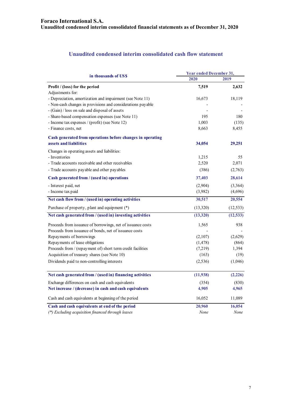# **Unaudited condensed interim consolidated cash flow statement**

| in thousands of US\$                                        | <b>Year ended December 31,</b> |           |  |
|-------------------------------------------------------------|--------------------------------|-----------|--|
|                                                             | 2020                           | 2019      |  |
| Profit / (loss) for the period                              | 7,519                          | 2,632     |  |
| Adjustments for:                                            |                                |           |  |
| - Depreciation, amortization and impairment (see Note 11)   | 16,673                         | 18,119    |  |
| - Non-cash changes in provisions and considerations payable |                                |           |  |
| - (Gain) / loss on sale and disposal of assets              |                                |           |  |
| - Share-based compensation expenses (see Note 11)           | 195                            | 180       |  |
| - Income tax expenses / (profit) (see Note 12)              | 1,003                          | (135)     |  |
| - Finance costs, net                                        | 8,663                          | 8,455     |  |
| Cash generated from operations before changes in operating  |                                |           |  |
| assets and liabilities                                      | 34,054                         | 29,251    |  |
| Changes in operating assets and liabilities:                |                                |           |  |
| - Inventories                                               | 1,215                          | 55        |  |
| - Trade accounts receivable and other receivables           | 2,520                          | 2,071     |  |
| - Trade accounts payable and other payables                 | (386)                          | (2,763)   |  |
| Cash generated from / (used in) operations                  | 37,403                         | 28,614    |  |
| - Interest paid, net                                        | (2,904)                        | (3,364)   |  |
| - Income tax paid                                           | (3,982)                        | (4,696)   |  |
| Net cash flow from / (used in) operating activities         | 30,517                         | 20,554    |  |
| Purchase of property, plant and equipment (*)               | (13,320)                       | (12, 533) |  |
| Net cash generated from / (used in) investing activities    | (13,320)                       | (12, 533) |  |
| Proceeds from issuance of borrowings, net of issuance costs | 1,565                          | 938       |  |
| Proceeds from issuance of bonds, net of issuance costs      |                                |           |  |
| Repayments of borrowings                                    | (2,107)                        | (2,629)   |  |
| Repayments of lease obligations                             | (1, 478)                       | (864)     |  |
| Proceeds from / (repayment of) short term credit facilities | (7,219)                        | 1,394     |  |
| Acquisition of treasury shares (see Note 10)                | (163)                          | (19)      |  |
| Dividends paid to non-controlling interests                 | (2,536)                        | (1,046)   |  |
| Net cash generated from / (used in) financing activities    | (11,938)                       | (2,226)   |  |
|                                                             |                                |           |  |
| Exchange differences on cash and cash equivalents           | (354)                          | (830)     |  |
| Net increase / (decrease) in cash and cash equivalents      | 4,905                          | 4,965     |  |
| Cash and cash equivalents at beginning of the period        | 16,052                         | 11,089    |  |
| Cash and cash equivalents at end of the period              | 20,960                         | 16,054    |  |
| (*) Excluding acquisition financed through leases           | None                           | None      |  |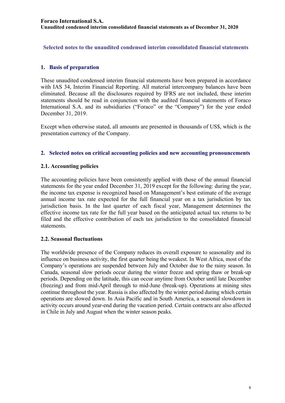**Selected notes to the unaudited condensed interim consolidated financial statements** 

# **1. Basis of preparation**

These unaudited condensed interim financial statements have been prepared in accordance with IAS 34, Interim Financial Reporting. All material intercompany balances have been eliminated. Because all the disclosures required by IFRS are not included, these interim statements should be read in conjunction with the audited financial statements of Foraco International S.A. and its subsidiaries ("Foraco" or the "Company") for the year ended December 31, 2019.

Except when otherwise stated, all amounts are presented in thousands of US\$, which is the presentation currency of the Company.

# **2. Selected notes on critical accounting policies and new accounting pronouncements**

# **2.1. Accounting policies**

The accounting policies have been consistently applied with those of the annual financial statements for the year ended December 31, 2019 except for the following: during the year, the income tax expense is recognized based on Management's best estimate of the average annual income tax rate expected for the full financial year on a tax jurisdiction by tax jurisdiction basis. In the last quarter of each fiscal year, Management determines the effective income tax rate for the full year based on the anticipated actual tax returns to be filed and the effective contribution of each tax jurisdiction to the consolidated financial statements.

# **2.2. Seasonal fluctuations**

The worldwide presence of the Company reduces its overall exposure to seasonality and its influence on business activity, the first quarter being the weakest. In West Africa, most of the Company's operations are suspended between July and October due to the rainy season. In Canada, seasonal slow periods occur during the winter freeze and spring thaw or break-up periods. Depending on the latitude, this can occur anytime from October until late December (freezing) and from mid-April through to mid-June (break-up). Operations at mining sites continue throughout the year. Russia is also affected by the winter period during which certain operations are slowed down. In Asia Pacific and in South America, a seasonal slowdown in activity occurs around year-end during the vacation period. Certain contracts are also affected in Chile in July and August when the winter season peaks.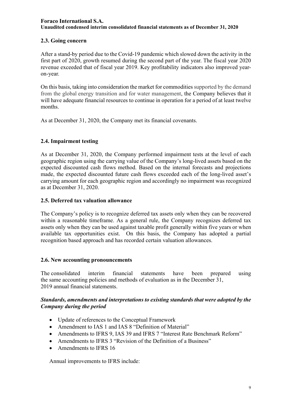#### **Foraco International S.A. Unaudited condensed interim consolidated financial statements as of December 31, 2020**

# **2.3. Going concern**

After a stand-by period due to the Covid-19 pandemic which slowed down the activity in the first part of 2020, growth resumed during the second part of the year. The fiscal year 2020 revenue exceeded that of fiscal year 2019. Key profitability indicators also improved yearon-year.

On this basis, taking into consideration the market for commodities supported by the demand from the global energy transition and for water management, the Company believes that it will have adequate financial resources to continue in operation for a period of at least twelve months.

As at December 31, 2020, the Company met its financial covenants.

# **2.4. Impairment testing**

As at December 31, 2020, the Company performed impairment tests at the level of each geographic region using the carrying value of the Company's long-lived assets based on the expected discounted cash flows method. Based on the internal forecasts and projections made, the expected discounted future cash flows exceeded each of the long-lived asset's carrying amount for each geographic region and accordingly no impairment was recognized as at December 31, 2020.

# **2.5. Deferred tax valuation allowance**

The Company's policy is to recognize deferred tax assets only when they can be recovered within a reasonable timeframe. As a general rule, the Company recognizes deferred tax assets only when they can be used against taxable profit generally within five years or when available tax opportunities exist. On this basis, the Company has adopted a partial recognition based approach and has recorded certain valuation allowances.

#### **2.6. New accounting pronouncements**

The consolidated interim financial statements have been prepared using the same accounting policies and methods of evaluation as in the December 31, 2019 annual financial statements.

#### *Standards, amendments and interpretations to existing standards that were adopted by the Company during the period*

- Update of references to the Conceptual Framework
- Amendment to IAS 1 and IAS 8 "Definition of Material"
- Amendments to IFRS 9, IAS 39 and IFRS 7 "Interest Rate Benchmark Reform"
- Amendments to IFRS 3 "Revision of the Definition of a Business"
- Amendments to IFRS 16

Annual improvements to IFRS include: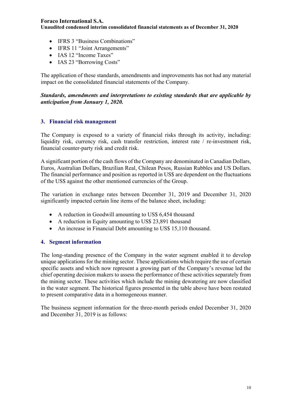**Unaudited condensed interim consolidated financial statements as of December 31, 2020** 

- IFRS 3 "Business Combinations"
- IFRS 11 "Joint Arrangements"
- IAS 12 "Income Taxes"
- IAS 23 "Borrowing Costs"

The application of these standards, amendments and improvements has not had any material impact on the consolidated financial statements of the Company.

*Standards, amendments and interpretations to existing standards that are applicable by anticipation from January 1, 2020.* 

# **3. Financial risk management**

The Company is exposed to a variety of financial risks through its activity, including: liquidity risk, currency risk, cash transfer restriction, interest rate / re-investment risk, financial counter-party risk and credit risk.

A significant portion of the cash flows of the Company are denominated in Canadian Dollars, Euros, Australian Dollars, Brazilian Real, Chilean Pesos, Russian Rubbles and US Dollars. The financial performance and position as reported in US\$ are dependent on the fluctuations of the US\$ against the other mentioned currencies of the Group.

The variation in exchange rates between December 31, 2019 and December 31, 2020 significantly impacted certain line items of the balance sheet, including:

- A reduction in Goodwill amounting to US\$ 6,454 thousand
- A reduction in Equity amounting to US\$ 23,891 thousand
- An increase in Financial Debt amounting to US\$ 15,110 thousand.

# **4. Segment information**

The long-standing presence of the Company in the water segment enabled it to develop unique applications for the mining sector. These applications which require the use of certain specific assets and which now represent a growing part of the Company's revenue led the chief operating decision makers to assess the performance of these activities separately from the mining sector. These activities which include the mining dewatering are now classified in the water segment. The historical figures presented in the table above have been restated to present comparative data in a homogeneous manner.

The business segment information for the three-month periods ended December 31, 2020 and December 31, 2019 is as follows: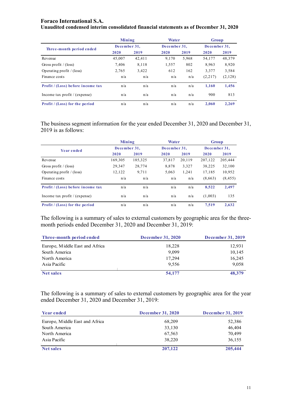| Unaudited condensed interim consolidated financial statements as of December 31, 2020 |  |
|---------------------------------------------------------------------------------------|--|
|---------------------------------------------------------------------------------------|--|

|                                       | Mining       |        | Water        |       | Group        |         |
|---------------------------------------|--------------|--------|--------------|-------|--------------|---------|
| Three-month period ended              | December 31, |        | December 31, |       | December 31. |         |
|                                       | 2020         | 2019   | 2020         | 2019  | 2020         | 2019    |
| Revenue                               | 45,007       | 42.411 | 9.170        | 5,968 | 54,177       | 48,379  |
| Gross profit / $(\text{loss})$        | 7,406        | 8,118  | 1,557        | 802   | 8,963        | 8,920   |
| Operating profit $/$ (loss)           | 2,765        | 3,422  | 612          | 162   | 3,377        | 3,584   |
| Finance costs                         | n/a          | n/a    | n/a          | n/a   | (2,217)      | (2,128) |
| Profit / (Loss) before income tax     | n/a          | n/a    | n/a          | n/a   | 1.160        | 1,456   |
| Income tax profit $/$ (expense)       | n/a          | n/a    | n/a          | n/a   | 900          | 813     |
| <b>Profit</b> / (Loss) for the period | n/a          | n/a    | n/a          | n/a   | 2.060        | 2,269   |

The business segment information for the year ended December 31, 2020 and December 31, 2019 is as follows:

|                                       | Mining       |         | Water        |        | <b>Group</b> |          |
|---------------------------------------|--------------|---------|--------------|--------|--------------|----------|
| <b>Year ended</b>                     | December 31, |         | December 31, |        | December 31, |          |
|                                       | 2020         | 2019    | 2020         | 2019   | 2020         | 2019     |
| Revenue                               | 169,305      | 185,325 | 37,817       | 20.119 | 207,122      | 205,444  |
| Gross profit / (loss)                 | 29.347       | 28,774  | 8.878        | 3,327  | 38,225       | 32,100   |
| Operating profit $/$ (loss)           | 12,122       | 9,711   | 5,063        | 1,241  | 17,185       | 10,952   |
| Finance costs                         | n/a          | n/a     | n/a          | n/a    | (8,663)      | (8, 455) |
| Profit / (Loss) before income tax     | n/a          | n/a     | n/a          | n/a    | 8.522        | 2,497    |
| Income tax profit $/(expense)$        | n/a          | n/a     | n/a          | n/a    | (1,003)      | 135      |
| <b>Profit</b> / (Loss) for the period | n/a          | n/a     | n/a          | n/a    | 7.519        | 2.632    |

The following is a summary of sales to external customers by geographic area for the threemonth periods ended December 31, 2020 and December 31, 2019:

| Three-month period ended       | <b>December 31, 2020</b> | <b>December 31, 2019</b> |
|--------------------------------|--------------------------|--------------------------|
| Europe, Middle East and Africa | 18,228                   | 12,931                   |
| South America                  | 9.099                    | 10,145                   |
| North America                  | 17,294                   | 16,245                   |
| Asia Pacific                   | 9.556                    | 9.058                    |
| Net sales                      | 54,177                   | 48,379                   |

The following is a summary of sales to external customers by geographic area for the year ended December 31, 2020 and December 31, 2019:

| <b>Year ended</b>              | <b>December 31, 2020</b> | <b>December 31, 2019</b> |
|--------------------------------|--------------------------|--------------------------|
| Europe, Middle East and Africa | 68,209                   | 52,386                   |
| South America                  | 33,130                   | 46,404                   |
| North America                  | 67,563                   | 70,499                   |
| Asia Pacific                   | 38,220                   | 36,155                   |
| <b>Net sales</b>               | 207,122                  | 205,444                  |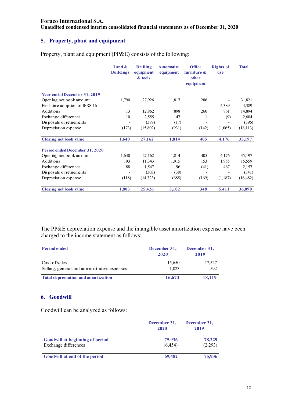**Unaudited condensed interim consolidated financial statements as of December 31, 2020** 

# **5. Property, plant and equipment**

Property, plant and equipment (PP&E) consists of the following:

|                                     | <b>Land &amp;</b><br><b>Buildings</b> | <b>Drilling</b><br>equipment<br>& tools | <b>Automotive</b><br>equipment | <b>Office</b><br>furniture $\&$<br>other<br>equipment | <b>Rights of</b><br><b>use</b> | <b>Total</b> |
|-------------------------------------|---------------------------------------|-----------------------------------------|--------------------------------|-------------------------------------------------------|--------------------------------|--------------|
|                                     |                                       |                                         |                                |                                                       |                                |              |
| <b>Year ended December 31, 2019</b> |                                       |                                         |                                |                                                       |                                |              |
| Opening net book amount             | 1,790                                 | 27,926                                  | 1,817                          | 286                                                   |                                | 31,821       |
| First-time adoption of IFRS 16      |                                       |                                         |                                |                                                       | 4,389                          | 4,389        |
| Additions                           | 13                                    | 12,862                                  | 898                            | 260                                                   | 861                            | 14,894       |
| Exchange differences                | 10                                    | 2,555                                   | 47                             | 1                                                     | (9)                            | 2,604        |
| Disposals or retirements            |                                       | (379)                                   | (17)                           |                                                       |                                | (396)        |
| Depreciation expense                | (173)                                 | (15,802)                                | (931)                          | (142)                                                 | (1,065)                        | (18, 113)    |
| <b>Closing net book value</b>       | 1,640                                 | 27,162                                  | 1,814                          | 405                                                   | 4,176                          | 35,197       |
| Period ended December 31, 2020      |                                       |                                         |                                |                                                       |                                |              |
| Opening net book amount             | 1,640                                 | 27,162                                  | 1,814                          | 405                                                   | 4,176                          | 35,197       |
| Additions                           | 193                                   | 11,343                                  | 1,915                          | 153                                                   | 1,955                          | 15,559       |
| Exchange differences                | 88                                    | 1,547                                   | 96                             | (41)                                                  | 467                            | 2,157        |
| Disposals or retirements            |                                       | (303)                                   | (38)                           | $\overline{\phantom{a}}$                              |                                | (341)        |
| Depreciation expense                | (118)                                 | (14,323)                                | (685)                          | (169)                                                 | (1,187)                        | (16, 482)    |
| <b>Closing net book value</b>       | 1,803                                 | 25,426                                  | 3,102                          | 348                                                   | 5,411                          | 36,090       |

The PP&E depreciation expense and the intangible asset amortization expense have been charged to the income statement as follows:

| <b>Period ended</b>                                           | December 31,<br>2020 | December 31,<br>2019 |
|---------------------------------------------------------------|----------------------|----------------------|
| Cost of sales<br>Selling, general and administrative expenses | 15,650<br>1.023      | 17,527<br>592        |
| <b>Total depreciation and amortization</b>                    | 16,673               | 18,119               |

#### **6. Goodwill**

Goodwill can be analyzed as follows:

|                                                                | December 31,<br>2020 | December 31,<br>2019 |  |
|----------------------------------------------------------------|----------------------|----------------------|--|
| <b>Goodwill at beginning of period</b><br>Exchange differences | 75,936<br>(6, 454)   | 78,229<br>(2,293)    |  |
| Goodwill at end of the period                                  | 69,482               | 75,936               |  |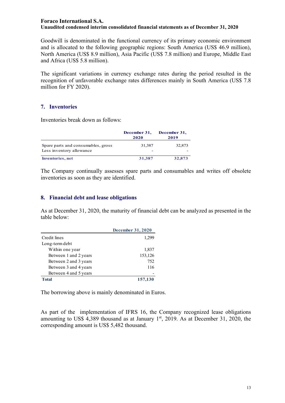#### **Foraco International S.A. Unaudited condensed interim consolidated financial statements as of December 31, 2020**

Goodwill is denominated in the functional currency of its primary economic environment and is allocated to the following geographic regions: South America (US\$ 46.9 million), North America (US\$ 8.9 million), Asia Pacific (US\$ 7.8 million) and Europe, Middle East and Africa (US\$ 5.8 million).

The significant variations in currency exchange rates during the period resulted in the recognition of unfavorable exchange rates differences mainly in South America (US\$ 7.8 million for FY 2020).

#### **7. Inventories**

Inventories break down as follows:

|                                                                | December 31,<br>2020 | December 31,<br>2019 |
|----------------------------------------------------------------|----------------------|----------------------|
| Spare parts and consumables, gross<br>Less inventory allowance | 31,387               | 32,873               |
| <b>Inventories</b> , net                                       | 31,387               | 32,873               |

The Company continually assesses spare parts and consumables and writes off obsolete inventories as soon as they are identified.

# **8. Financial debt and lease obligations**

As at December 31, 2020, the maturity of financial debt can be analyzed as presented in the table below:

|                       | <b>December 31, 2020</b> |
|-----------------------|--------------------------|
| Credit lines          | 1,299                    |
| Long-term debt        |                          |
| Within one year       | 1,837                    |
| Between 1 and 2 years | 153,126                  |
| Between 2 and 3 years | 752                      |
| Between 3 and 4 years | 116                      |
| Between 4 and 5 years |                          |
| Total                 | 157,130                  |

The borrowing above is mainly denominated in Euros.

As part of the implementation of IFRS 16, the Company recognized lease obligations amounting to US\$ 4,389 thousand as at January  $1<sup>st</sup>$ , 2019. As at December 31, 2020, the corresponding amount is US\$ 5,482 thousand.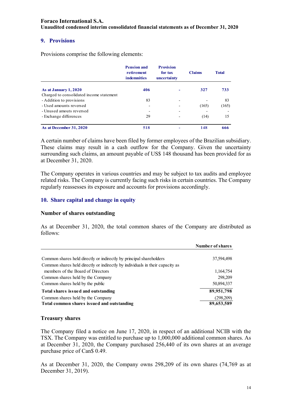**Unaudited condensed interim consolidated financial statements as of December 31, 2020** 

#### **9. Provisions**

Provisions comprise the following elements:

|                                          | <b>Pension and</b><br>retirement<br><b>indemnities</b> | <b>Provision</b><br>for tax<br>uncertainty | <b>Claims</b> | <b>Total</b> |
|------------------------------------------|--------------------------------------------------------|--------------------------------------------|---------------|--------------|
| As at January 1, 2020                    | 406                                                    | ۰                                          | 327           | 733          |
| Charged to consolidated income statement |                                                        |                                            |               |              |
| - Addition to provisions                 | 83                                                     | $\overline{\phantom{0}}$                   |               | 83           |
| - Used amounts reversed                  |                                                        |                                            | (165)         | (165)        |
| - Unused amouts reversed                 |                                                        | $\overline{\phantom{0}}$                   |               |              |
| - Exchange differences                   | 29                                                     |                                            | (14)          | 15           |
| As at December 31, 2020                  | 518                                                    |                                            | 148           | 666          |

A certain number of claims have been filed by former employees of the Brazilian subsidiary. These claims may result in a cash outflow for the Company. Given the uncertainty surrounding such claims, an amount payable of US\$ 148 thousand has been provided for as at December 31, 2020.

The Company operates in various countries and may be subject to tax audits and employee related risks. The Company is currently facing such risks in certain countries. The Company regularly reassesses its exposure and accounts for provisions accordingly.

#### **10. Share capital and change in equity**

#### **Number of shares outstanding**

As at December 31, 2020, the total common shares of the Company are distributed as follows:

|                                                                                                                                                      | Number of shares        |
|------------------------------------------------------------------------------------------------------------------------------------------------------|-------------------------|
| Common shares held directly or indirectly by principal shareholders<br>Common shares held directly or indirectly by individuals in their capacity as | 37,594,498              |
| members of the Board of Directors                                                                                                                    | 1,164,754               |
| Common shares held by the Company<br>Common shares held by the public                                                                                | 298,209<br>50,894,337   |
| Total shares issued and outstanding                                                                                                                  | 89,951,798              |
| Common shares held by the Company<br>Total common shares issued and outstanding                                                                      | (298,209)<br>89,653,589 |

#### **Treasury shares**

The Company filed a notice on June 17, 2020, in respect of an additional NCIB with the TSX. The Company was entitled to purchase up to 1,000,000 additional common shares. As at December 31, 2020, the Company purchased 256,440 of its own shares at an average purchase price of Can\$ 0.49.

As at December 31, 2020, the Company owns 298,209 of its own shares (74,769 as at December 31, 2019).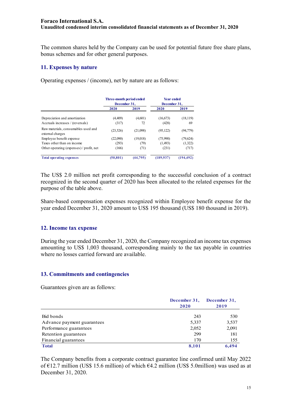# **Foraco International S.A. Unaudited condensed interim consolidated financial statements as of December 31, 2020**

The common shares held by the Company can be used for potential future free share plans, bonus schemes and for other general purposes.

# **11. Expenses by nature**

Operating expenses / (income), net by nature are as follows:

|                                                         | Three-month period ended<br>December 31, |           | <b>Year ended</b><br>December 31, |            |
|---------------------------------------------------------|------------------------------------------|-----------|-----------------------------------|------------|
|                                                         | 2020                                     | 2019      | 2020                              | 2019       |
| Depreciation and amortization                           | (4,409)                                  | (4,601)   | (16, 673)                         | (18, 119)  |
| Accruals increases / (reversals)                        | (317)                                    | 72        | (428)                             | 69         |
| Raw materials, consumables used and<br>external charges | (23, 526)                                | (21,098)  | (95, 122)                         | (94, 779)  |
| Employee benefit expense                                | (22,090)                                 | (19,018)  | (75,990)                          | (79,624)   |
| Taxes other than on income                              | (293)                                    | (79)      | (1, 493)                          | (1,322)    |
| Other operating (expenses) / profit, net                | (166)                                    | (71)      | (231)                             | (717)      |
| <b>Total operating expenses</b>                         | (50, 801)                                | (44, 795) | (189.937)                         | (194, 492) |

The US\$ 2.0 million net profit corresponding to the successful conclusion of a contract recognized in the second quarter of 2020 has been allocated to the related expenses for the purpose of the table above.

Share-based compensation expenses recognized within Employee benefit expense for the year ended December 31, 2020 amount to US\$ 195 thousand (US\$ 180 thousand in 2019).

# **12. Income tax expense**

During the year ended December 31, 2020, the Company recognized an income tax expenses amounting to US\$ 1,003 thousand, corresponding mainly to the tax payable in countries where no losses carried forward are available.

# **13. Commitments and contingencies**

Guarantees given are as follows:

|                            | December 31, | December 31, |
|----------------------------|--------------|--------------|
|                            | 2020         | 2019         |
| Bid bonds                  | 243          | 530          |
| Advance payment guarantees | 5,337        | 3,537        |
| Performance guarantees     | 2,052        | 2,091        |
| Retention guarantees       | 299          | 181          |
| Financial guarantees       | 170          | 155          |
| <b>Total</b>               | 8,101        | 6.494        |

The Company benefits from a corporate contract guarantee line confirmed until May 2022 of €12.7 million (US\$ 15.6 million) of which  $64.2$  million (US\$ 5.0million) was used as at December 31, 2020.